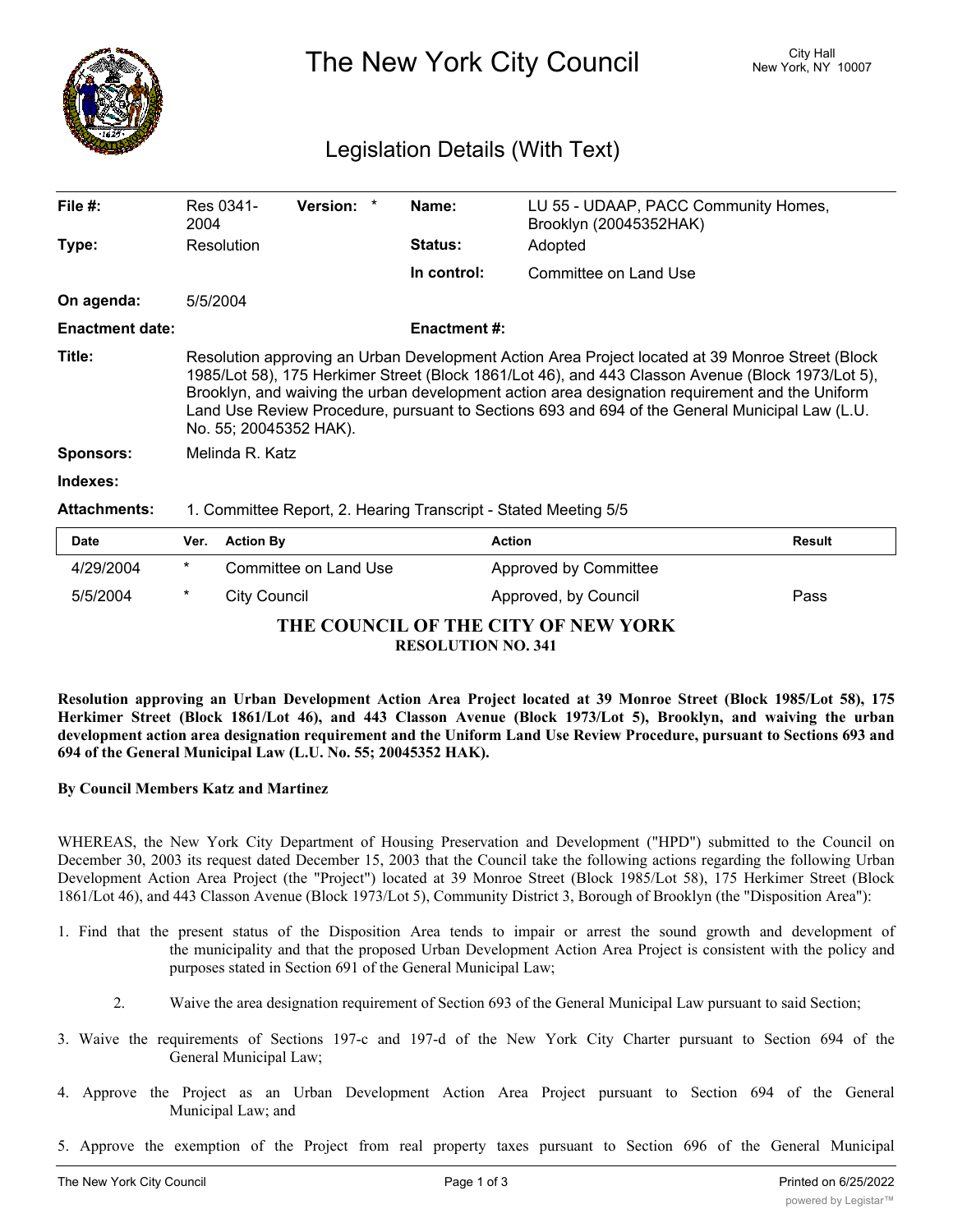

The New York City Council New York, NY 10007

 $\overline{\phantom{0}}$ 

## Legislation Details (With Text)

| File $#$ :             | Res 0341-<br>2004                                                                                                                                                                                                                                                                                                                                                                                                                    | <b>Version:</b> |  | Name:               | LU 55 - UDAAP, PACC Community Homes,<br>Brooklyn (20045352HAK) |               |  |
|------------------------|--------------------------------------------------------------------------------------------------------------------------------------------------------------------------------------------------------------------------------------------------------------------------------------------------------------------------------------------------------------------------------------------------------------------------------------|-----------------|--|---------------------|----------------------------------------------------------------|---------------|--|
| Type:                  | Resolution                                                                                                                                                                                                                                                                                                                                                                                                                           |                 |  | <b>Status:</b>      | Adopted                                                        |               |  |
|                        |                                                                                                                                                                                                                                                                                                                                                                                                                                      |                 |  | In control:         | Committee on Land Use                                          |               |  |
| On agenda:             | 5/5/2004                                                                                                                                                                                                                                                                                                                                                                                                                             |                 |  |                     |                                                                |               |  |
| <b>Enactment date:</b> |                                                                                                                                                                                                                                                                                                                                                                                                                                      |                 |  | <b>Enactment #:</b> |                                                                |               |  |
| Title:                 | Resolution approving an Urban Development Action Area Project located at 39 Monroe Street (Block<br>1985/Lot 58), 175 Herkimer Street (Block 1861/Lot 46), and 443 Classon Avenue (Block 1973/Lot 5),<br>Brooklyn, and waiving the urban development action area designation requirement and the Uniform<br>Land Use Review Procedure, pursuant to Sections 693 and 694 of the General Municipal Law (L.U.<br>No. 55; 20045352 HAK). |                 |  |                     |                                                                |               |  |
| <b>Sponsors:</b>       | Melinda R. Katz                                                                                                                                                                                                                                                                                                                                                                                                                      |                 |  |                     |                                                                |               |  |
| Indexes:               |                                                                                                                                                                                                                                                                                                                                                                                                                                      |                 |  |                     |                                                                |               |  |
| <b>Attachments:</b>    | 1. Committee Report, 2. Hearing Transcript - Stated Meeting 5/5                                                                                                                                                                                                                                                                                                                                                                      |                 |  |                     |                                                                |               |  |
| <b>Date</b>            | <b>Action By</b><br>Ver.                                                                                                                                                                                                                                                                                                                                                                                                             |                 |  | <b>Action</b>       |                                                                | <b>Result</b> |  |

| <b>Date</b>                         | Ver.   | <b>Action By</b>      | <b>Action</b>         | <b>Result</b> |  |  |  |  |  |
|-------------------------------------|--------|-----------------------|-----------------------|---------------|--|--|--|--|--|
| 4/29/2004                           | $\ast$ | Committee on Land Use | Approved by Committee |               |  |  |  |  |  |
| 5/5/2004                            |        | City Council          | Approved, by Council  | Pass          |  |  |  |  |  |
| THE COUNCIL OF THE CITY OF NEW YORK |        |                       |                       |               |  |  |  |  |  |
| <b>RESOLUTION NO. 341</b>           |        |                       |                       |               |  |  |  |  |  |

Resolution approving an Urban Development Action Area Project located at 39 Monroe Street (Block 1985/Lot 58), 175 Herkimer Street (Block 1861/Lot 46), and 443 Classon Avenue (Block 1973/Lot 5), Brooklyn, and waiving the urban development action area designation requirement and the Uniform Land Use Review Procedure, pursuant to Sections 693 and **694 of the General Municipal Law (L.U. No. 55; 20045352 HAK).**

## **By Council Members Katz and Martinez**

WHEREAS, the New York City Department of Housing Preservation and Development ("HPD") submitted to the Council on December 30, 2003 its request dated December 15, 2003 that the Council take the following actions regarding the following Urban Development Action Area Project (the "Project") located at 39 Monroe Street (Block 1985/Lot 58), 175 Herkimer Street (Block 1861/Lot 46), and 443 Classon Avenue (Block 1973/Lot 5), Community District 3, Borough of Brooklyn (the "Disposition Area"):

- 1. Find that the present status of the Disposition Area tends to impair or arrest the sound growth and development of the municipality and that the proposed Urban Development Action Area Project is consistent with the policy and purposes stated in Section 691 of the General Municipal Law;
	- 2. Waive the area designation requirement of Section 693 of the General Municipal Law pursuant to said Section;
- 3. Waive the requirements of Sections 197-c and 197-d of the New York City Charter pursuant to Section 694 of the General Municipal Law;
- 4. Approve the Project as an Urban Development Action Area Project pursuant to Section 694 of the General Municipal Law; and
- 5. Approve the exemption of the Project from real property taxes pursuant to Section 696 of the General Municipal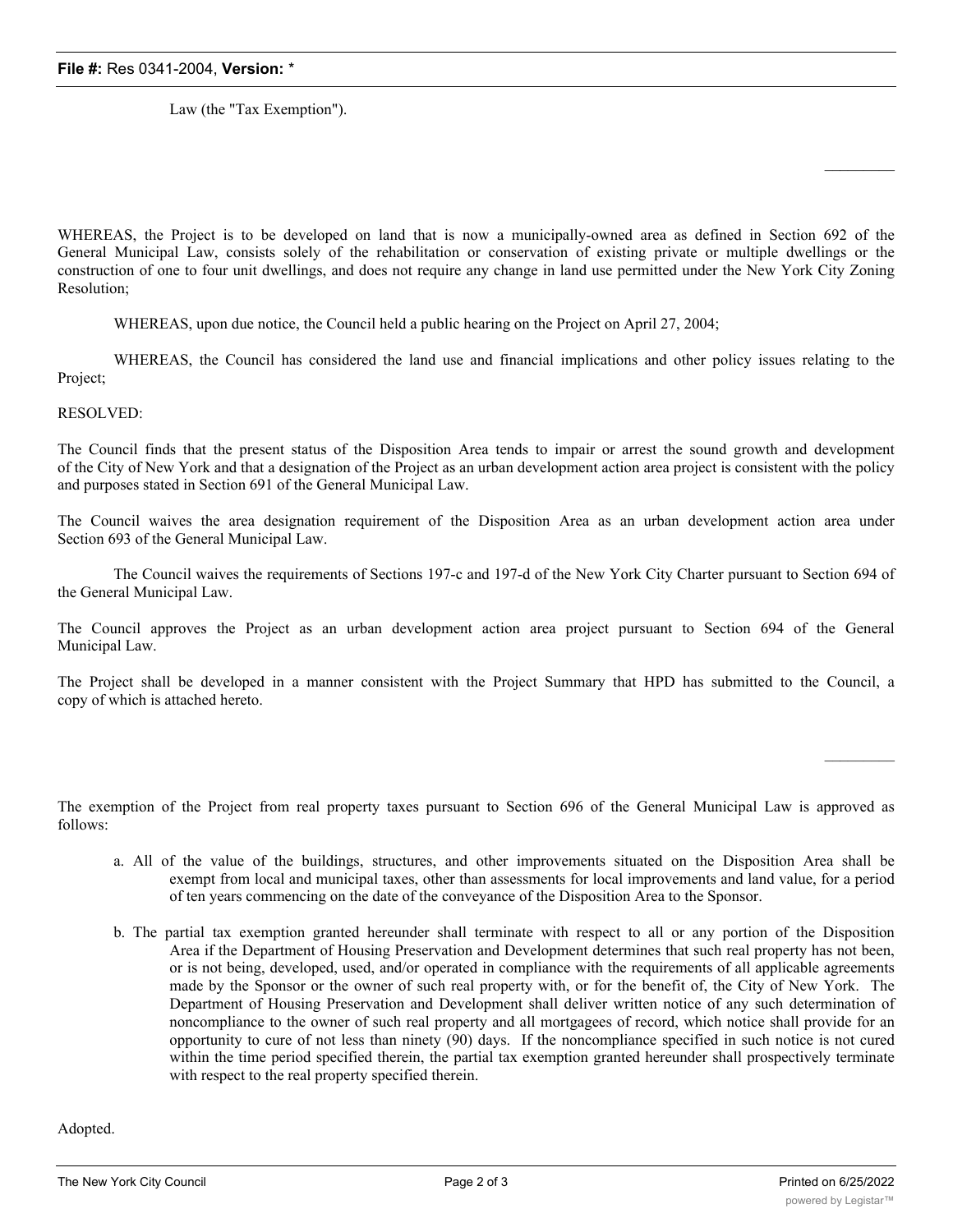Law (the "Tax Exemption").

WHEREAS, the Project is to be developed on land that is now a municipally-owned area as defined in Section 692 of the General Municipal Law, consists solely of the rehabilitation or conservation of existing private or multiple dwellings or the construction of one to four unit dwellings, and does not require any change in land use permitted under the New York City Zoning Resolution;

WHEREAS, upon due notice, the Council held a public hearing on the Project on April 27, 2004;

WHEREAS, the Council has considered the land use and financial implications and other policy issues relating to the Project;

RESOLVED:

The Council finds that the present status of the Disposition Area tends to impair or arrest the sound growth and development of the City of New York and that a designation of the Project as an urban development action area project is consistent with the policy and purposes stated in Section 691 of the General Municipal Law.

The Council waives the area designation requirement of the Disposition Area as an urban development action area under Section 693 of the General Municipal Law.

The Council waives the requirements of Sections 197-c and 197-d of the New York City Charter pursuant to Section 694 of the General Municipal Law.

The Council approves the Project as an urban development action area project pursuant to Section 694 of the General Municipal Law.

The Project shall be developed in a manner consistent with the Project Summary that HPD has submitted to the Council, a copy of which is attached hereto.

The exemption of the Project from real property taxes pursuant to Section 696 of the General Municipal Law is approved as follows:

- a. All of the value of the buildings, structures, and other improvements situated on the Disposition Area shall be exempt from local and municipal taxes, other than assessments for local improvements and land value, for a period of ten years commencing on the date of the conveyance of the Disposition Area to the Sponsor.
- b. The partial tax exemption granted hereunder shall terminate with respect to all or any portion of the Disposition Area if the Department of Housing Preservation and Development determines that such real property has not been, or is not being, developed, used, and/or operated in compliance with the requirements of all applicable agreements made by the Sponsor or the owner of such real property with, or for the benefit of, the City of New York. The Department of Housing Preservation and Development shall deliver written notice of any such determination of noncompliance to the owner of such real property and all mortgagees of record, which notice shall provide for an opportunity to cure of not less than ninety (90) days. If the noncompliance specified in such notice is not cured within the time period specified therein, the partial tax exemption granted hereunder shall prospectively terminate with respect to the real property specified therein.

Adopted.

 $\frac{1}{2}$ 

 $\mathcal{L}_\text{max}$